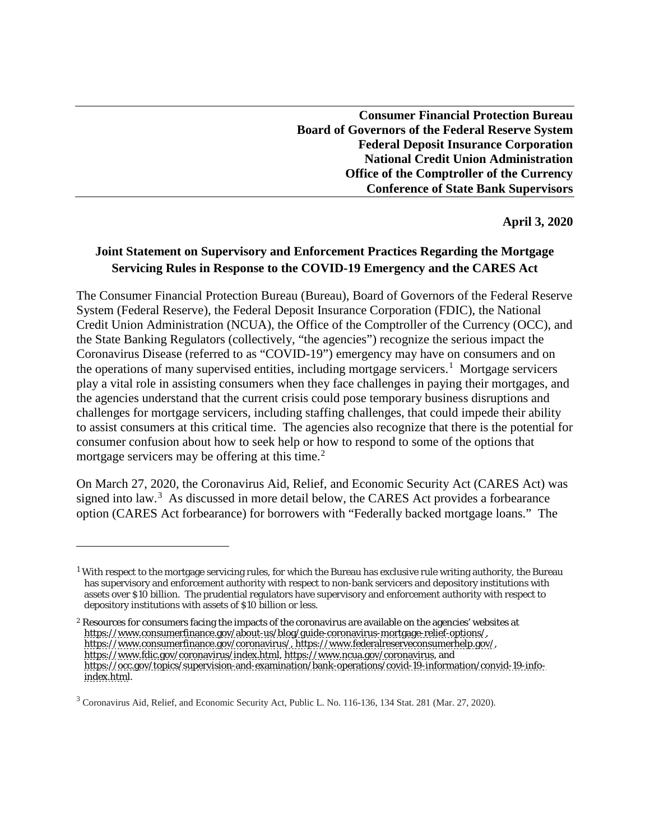**Consumer Financial Protection Bureau Board of Governors of the Federal Reserve System Federal Deposit Insurance Corporation National Credit Union Administration Office of the Comptroller of the Currency Conference of State Bank Supervisors**

**April 3, 2020**

## **Joint Statement on Supervisory and Enforcement Practices Regarding the Mortgage Servicing Rules in Response to the COVID-19 Emergency and the CARES Act**

The Consumer Financial Protection Bureau (Bureau), Board of Governors of the Federal Reserve System (Federal Reserve), the Federal Deposit Insurance Corporation (FDIC), the National Credit Union Administration (NCUA), the Office of the Comptroller of the Currency (OCC), and the State Banking Regulators (collectively, "the agencies") recognize the serious impact the Coronavirus Disease (referred to as "COVID-19") emergency may have on consumers and on the operations of many supervised entities, including mortgage servicers.<sup>[1](#page-0-0)</sup> Mortgage servicers play a vital role in assisting consumers when they face challenges in paying their mortgages, and the agencies understand that the current crisis could pose temporary business disruptions and challenges for mortgage servicers, including staffing challenges, that could impede their ability to assist consumers at this critical time. The agencies also recognize that there is the potential for consumer confusion about how to seek help or how to respond to some of the options that mortgage servicers may be offering at this time.<sup>[2](#page-0-1)</sup>

On March 27, 2020, the Coronavirus Aid, Relief, and Economic Security Act (CARES Act) was signed into law.<sup>[3](#page-0-2)</sup> As discussed in more detail below, the CARES Act provides a forbearance option (CARES Act forbearance) for borrowers with "Federally backed mortgage loans." The

1

<span id="page-0-0"></span> $1$  With respect to the mortgage servicing rules, for which the Bureau has exclusive rule writing authority, the Bureau has supervisory and enforcement authority with respect to non-bank servicers and depository institutions with assets over \$10 billion. The prudential regulators have supervisory and enforcement authority with respect to depository institutions with assets of \$10 billion or less.

<span id="page-0-1"></span><sup>2</sup> Resources for consumers facing the impacts of the coronavirus are available on the agencies' websites at [https://www.consumerfinance.gov/about-us/blog/guide-coronavirus-mortgage-relief-options/,](https://www.consumerfinance.gov/about-us/blog/guide-coronavirus-mortgage-relief-options/)  [https://www.consumerfinance.gov/coronavirus/,](https://www.consumerfinance.gov/coronavirus/) [https://www.federalreserveconsumerhelp.gov/,](https://www.federalreserveconsumerhelp.gov/) [https://www.fdic.gov/coronavirus/index.html,](https://www.fdic.gov/coronavirus/index.html) [https://www.ncua.gov/coronavirus,](https://www.ncua.gov/coronavirus) and [https://occ.gov/topics/supervision-and-examination/bank-operations/covid-19-information/convid-19-info](https://occ.gov/topics/supervision-and-examination/bank-operations/covid-19-information/convid-19-info-index.html)[index.html.](https://occ.gov/topics/supervision-and-examination/bank-operations/covid-19-information/convid-19-info-index.html)

<span id="page-0-2"></span><sup>&</sup>lt;sup>3</sup> Coronavirus Aid, Relief, and Economic Security Act, Public L. No. 116-136, 134 Stat. 281 (Mar. 27, 2020).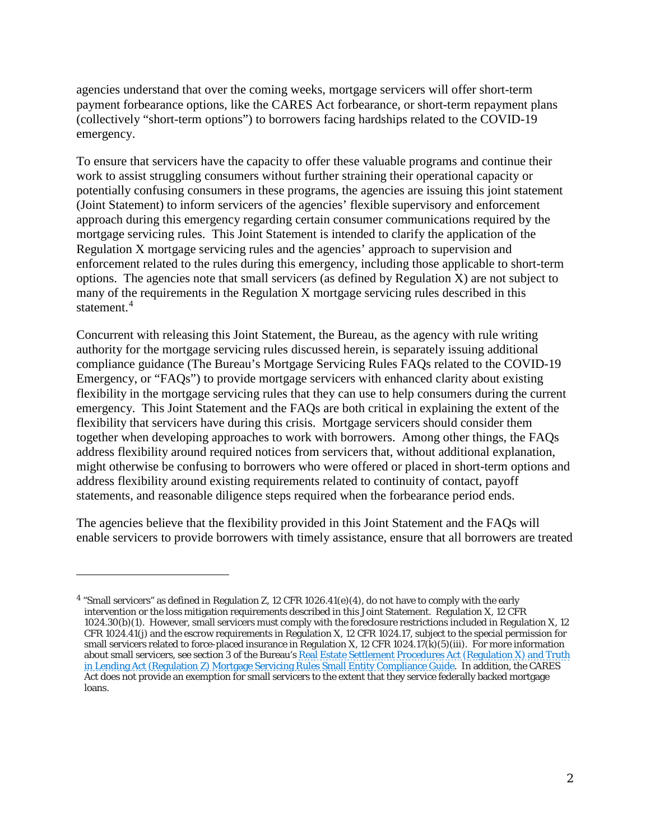agencies understand that over the coming weeks, mortgage servicers will offer short-term payment forbearance options, like the CARES Act forbearance, or short-term repayment plans (collectively "short-term options") to borrowers facing hardships related to the COVID-19 emergency.

To ensure that servicers have the capacity to offer these valuable programs and continue their work to assist struggling consumers without further straining their operational capacity or potentially confusing consumers in these programs, the agencies are issuing this joint statement (Joint Statement) to inform servicers of the agencies' flexible supervisory and enforcement approach during this emergency regarding certain consumer communications required by the mortgage servicing rules. This Joint Statement is intended to clarify the application of the Regulation X mortgage servicing rules and the agencies' approach to supervision and enforcement related to the rules during this emergency, including those applicable to short-term options. The agencies note that small servicers (as defined by Regulation  $X$ ) are not subject to many of the requirements in the Regulation X mortgage servicing rules described in this statement. [4](#page-1-0)

Concurrent with releasing this Joint Statement, the Bureau, as the agency with rule writing authority for the mortgage servicing rules discussed herein, is separately issuing additional compliance guidance (The Bureau's Mortgage Servicing Rules FAQs related to the COVID-19 Emergency, or "FAQs") to provide mortgage servicers with enhanced clarity about existing flexibility in the mortgage servicing rules that they can use to help consumers during the current emergency. This Joint Statement and the FAQs are both critical in explaining the extent of the flexibility that servicers have during this crisis. Mortgage servicers should consider them together when developing approaches to work with borrowers. Among other things, the FAQs address flexibility around required notices from servicers that, without additional explanation, might otherwise be confusing to borrowers who were offered or placed in short-term options and address flexibility around existing requirements related to continuity of contact, payoff statements, and reasonable diligence steps required when the forbearance period ends.

The agencies believe that the flexibility provided in this Joint Statement and the FAQs will enable servicers to provide borrowers with timely assistance, ensure that all borrowers are treated

1

<span id="page-1-0"></span><sup>4</sup> "Small servicers" as defined in Regulation Z, 12 CFR 1026.41(e)(4), do not have to comply with the early intervention or the loss mitigation requirements described in this Joint Statement. Regulation X, 12 CFR 1024.30(b)(1). However, small servicers must comply with the foreclosure restrictions included in Regulation X, 12 CFR 1024.41(j) and the escrow requirements in Regulation X, 12 CFR 1024.17, subject to the special permission for small servicers related to force-placed insurance in Regulation X, 12 CFR 1024.17(k)(5)(iii). For more information about small servicers, see section 3 of the Bureau's <u>Real Estate Settlement Procedures Act (Regulation X) and Truth</u> [in Lending Act \(Regulation Z\) Mortgage Servicing Rules Small Entity Compliance Guide.](https://files.consumerfinance.gov/f/documents/cfpb_mortserv_guide_v3.2.1.pdf) In addition, the CARES Act does not provide an exemption for small servicers to the extent that they service federally backed mortgage loans.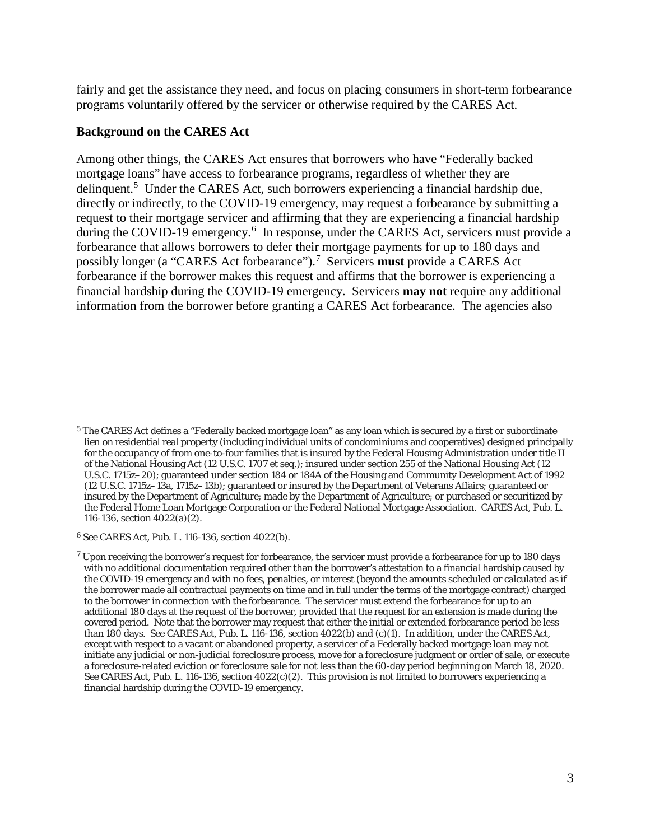fairly and get the assistance they need, and focus on placing consumers in short-term forbearance programs voluntarily offered by the servicer or otherwise required by the CARES Act.

## **Background on the CARES Act**

Among other things, the CARES Act ensures that borrowers who have "Federally backed mortgage loans" have access to forbearance programs, regardless of whether they are delinquent.<sup>[5](#page-2-0)</sup> Under the CARES Act, such borrowers experiencing a financial hardship due, directly or indirectly, to the COVID-19 emergency, may request a forbearance by submitting a request to their mortgage servicer and affirming that they are experiencing a financial hardship during the COVID-19 emergency.<sup>[6](#page-2-1)</sup> In response, under the CARES Act, servicers must provide a forbearance that allows borrowers to defer their mortgage payments for up to 180 days and possibly longer (a "CARES Act forbearance"). [7](#page-2-2) Servicers **must** provide a CARES Act forbearance if the borrower makes this request and affirms that the borrower is experiencing a financial hardship during the COVID-19 emergency. Servicers **may not** require any additional information from the borrower before granting a CARES Act forbearance. The agencies also

1

<span id="page-2-0"></span><sup>&</sup>lt;sup>5</sup> The CARES Act defines a "Federally backed mortgage loan" as any loan which is secured by a first or subordinate lien on residential real property (including individual units of condominiums and cooperatives) designed principally for the occupancy of from one-to-four families that is insured by the Federal Housing Administration under title II of the National Housing Act (12 U.S.C. 1707 et seq.); insured under section 255 of the National Housing Act (12 U.S.C. 1715z–20); guaranteed under section 184 or 184A of the Housing and Community Development Act of 1992 (12 U.S.C. 1715z–13a, 1715z–13b); guaranteed or insured by the Department of Veterans Affairs; guaranteed or insured by the Department of Agriculture; made by the Department of Agriculture; or purchased or securitized by the Federal Home Loan Mortgage Corporation or the Federal National Mortgage Association. CARES Act, Pub. L. 116-136, section 4022(a)(2).

<span id="page-2-1"></span><sup>6</sup> See CARES Act, Pub. L. 116-136, section 4022(b).

<span id="page-2-2"></span> $7$  Upon receiving the borrower's request for forbearance, the servicer must provide a forbearance for up to 180 days with no additional documentation required other than the borrower's attestation to a financial hardship caused by the COVID-19 emergency and with no fees, penalties, or interest (beyond the amounts scheduled or calculated as if the borrower made all contractual payments on time and in full under the terms of the mortgage contract) charged to the borrower in connection with the forbearance. The servicer must extend the forbearance for up to an additional 180 days at the request of the borrower, provided that the request for an extension is made during the covered period. Note that the borrower may request that either the initial or extended forbearance period be less than 180 days. See CARES Act, Pub. L. 116-136, section 4022(b) and (c)(1). In addition, under the CARES Act, except with respect to a vacant or abandoned property, a servicer of a Federally backed mortgage loan may not initiate any judicial or non-judicial foreclosure process, move for a foreclosure judgment or order of sale, or execute a foreclosure-related eviction or foreclosure sale for not less than the 60-day period beginning on March 18, 2020. See CARES Act, Pub. L. 116-136, section 4022(c)(2). This provision is not limited to borrowers experiencing a financial hardship during the COVID-19 emergency.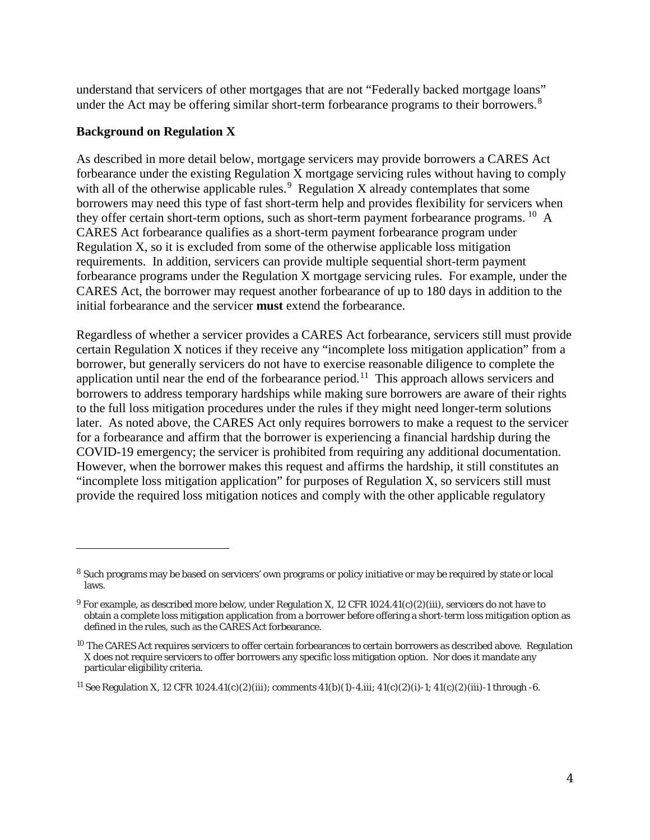understand that servicers of other mortgages that are not "Federally backed mortgage loans" under the Act may be offering similar short-term forbearance programs to their borrowers.<sup>[8](#page-3-0)</sup>

## **Background on Regulation X**

1

As described in more detail below, mortgage servicers may provide borrowers a CARES Act forbearance under the existing Regulation X mortgage servicing rules without having to comply with all of the otherwise applicable rules.<sup>[9](#page-3-1)</sup> Regulation X already contemplates that some borrowers may need this type of fast short-term help and provides flexibility for servicers when they offer certain short-term options, such as short-term payment forbearance programs. <sup>[10](#page-3-2)</sup> A CARES Act forbearance qualifies as a short-term payment forbearance program under Regulation X, so it is excluded from some of the otherwise applicable loss mitigation requirements. In addition, servicers can provide multiple sequential short-term payment forbearance programs under the Regulation X mortgage servicing rules. For example, under the CARES Act, the borrower may request another forbearance of up to 180 days in addition to the initial forbearance and the servicer **must** extend the forbearance.

Regardless of whether a servicer provides a CARES Act forbearance, servicers still must provide certain Regulation X notices if they receive any "incomplete loss mitigation application" from a borrower, but generally servicers do not have to exercise reasonable diligence to complete the application until near the end of the forbearance period.<sup>11</sup> This approach allows servicers and borrowers to address temporary hardships while making sure borrowers are aware of their rights to the full loss mitigation procedures under the rules if they might need longer-term solutions later. As noted above, the CARES Act only requires borrowers to make a request to the servicer for a forbearance and affirm that the borrower is experiencing a financial hardship during the COVID-19 emergency; the servicer is prohibited from requiring any additional documentation. However, when the borrower makes this request and affirms the hardship, it still constitutes an "incomplete loss mitigation application" for purposes of Regulation X, so servicers still must provide the required loss mitigation notices and comply with the other applicable regulatory

<span id="page-3-0"></span><sup>8</sup> Such programs may be based on servicers' own programs or policy initiative or may be required by state or local laws.

<span id="page-3-1"></span><sup>&</sup>lt;sup>9</sup> For example, as described more below, under Regulation X, 12 CFR 1024.41(c)(2)(iii), servicers do not have to obtain a complete loss mitigation application from a borrower before offering a short-term loss mitigation option as defined in the rules, such as the CARES Act forbearance.

<span id="page-3-2"></span><sup>&</sup>lt;sup>10</sup> The CARES Act requires servicers to offer certain forbearances to certain borrowers as described above. Regulation X does not require servicers to offer borrowers any specific loss mitigation option. Nor does it mandate any particular eligibility criteria.

<span id="page-3-3"></span><sup>&</sup>lt;sup>11</sup> See Regulation X, 12 CFR 1024.41(c)(2)(iii); comments 41(b)(1)-4.iii; 41(c)(2)(i)-1; 41(c)(2)(iii)-1 through -6.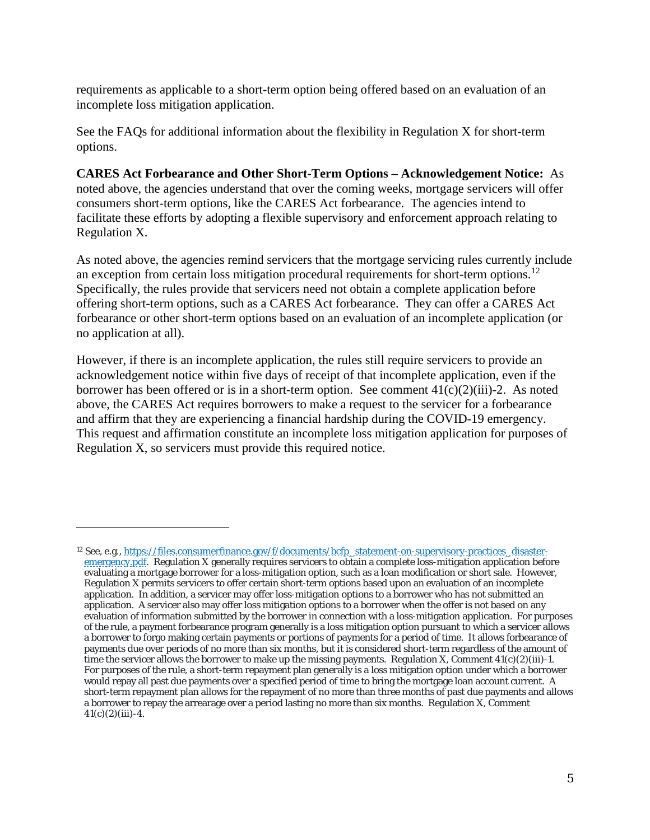requirements as applicable to a short-term option being offered based on an evaluation of an incomplete loss mitigation application.

See the FAQs for additional information about the flexibility in Regulation X for short-term options.

**CARES Act Forbearance and Other Short-Term Options – Acknowledgement Notice:** As noted above, the agencies understand that over the coming weeks, mortgage servicers will offer consumers short-term options, like the CARES Act forbearance. The agencies intend to facilitate these efforts by adopting a flexible supervisory and enforcement approach relating to Regulation X.

As noted above, the agencies remind servicers that the mortgage servicing rules currently include an exception from certain loss mitigation procedural requirements for short-term options.<sup>12</sup> Specifically, the rules provide that servicers need not obtain a complete application before offering short-term options, such as a CARES Act forbearance. They can offer a CARES Act forbearance or other short-term options based on an evaluation of an incomplete application (or no application at all).

However, if there is an incomplete application, the rules still require servicers to provide an acknowledgement notice within five days of receipt of that incomplete application, even if the borrower has been offered or is in a short-term option. See comment  $41(c)(2)(iii)-2$ . As noted above, the CARES Act requires borrowers to make a request to the servicer for a forbearance and affirm that they are experiencing a financial hardship during the COVID-19 emergency. This request and affirmation constitute an incomplete loss mitigation application for purposes of Regulation X, so servicers must provide this required notice.

 $\overline{a}$ 

<span id="page-4-0"></span><sup>12</sup> See, e.g., [https://files.consumerfinance.gov/f/documents/bcfp\\_statement-on-supervisory-practices\\_disaster](https://files.consumerfinance.gov/f/documents/bcfp_statement-on-supervisory-practices_disaster-emergency.pdf)[emergency.pdf.](https://files.consumerfinance.gov/f/documents/bcfp_statement-on-supervisory-practices_disaster-emergency.pdf) Regulation X generally requires servicers to obtain a complete loss-mitigation application before evaluating a mortgage borrower for a loss-mitigation option, such as a loan modification or short sale. However, Regulation X permits servicers to offer certain short-term options based upon an evaluation of an incomplete application. In addition, a servicer may offer loss-mitigation options to a borrower who has not submitted an application. A servicer also may offer loss mitigation options to a borrower when the offer is not based on any evaluation of information submitted by the borrower in connection with a loss-mitigation application. For purposes of the rule, a payment forbearance program generally is a loss mitigation option pursuant to which a servicer allows a borrower to forgo making certain payments or portions of payments for a period of time. It allows forbearance of payments due over periods of no more than six months, but it is considered short-term regardless of the amount of time the servicer allows the borrower to make up the missing payments. Regulation X, Comment  $41(c)(2)(iii)-1$ . For purposes of the rule, a short-term repayment plan generally is a loss mitigation option under which a borrower would repay all past due payments over a specified period of time to bring the mortgage loan account current. A short-term repayment plan allows for the repayment of no more than three months of past due payments and allows a borrower to repay the arrearage over a period lasting no more than six months. Regulation X, Comment  $41(c)(2)(iii) - 4.$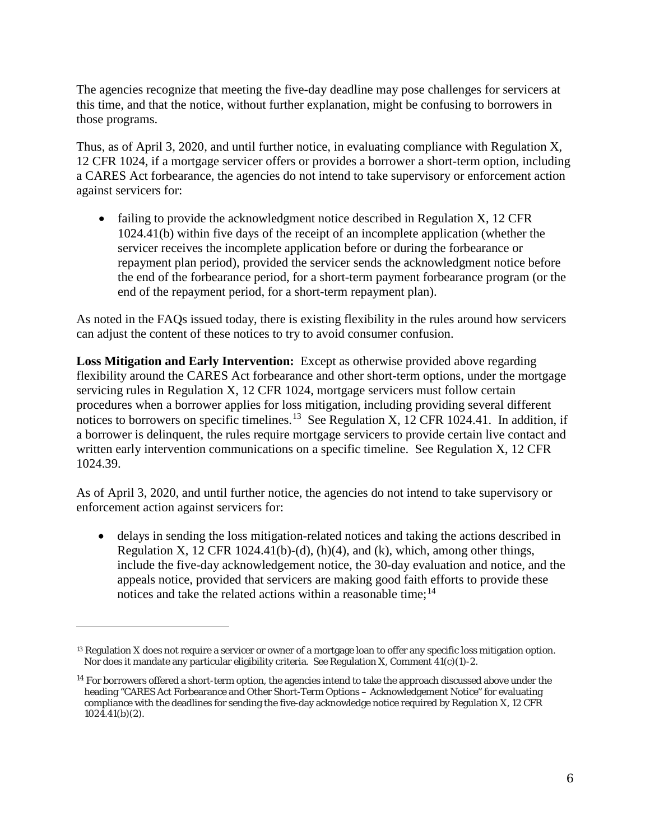The agencies recognize that meeting the five-day deadline may pose challenges for servicers at this time, and that the notice, without further explanation, might be confusing to borrowers in those programs.

Thus, as of April 3, 2020, and until further notice, in evaluating compliance with Regulation X, 12 CFR 1024, if a mortgage servicer offers or provides a borrower a short-term option, including a CARES Act forbearance, the agencies do not intend to take supervisory or enforcement action against servicers for:

• failing to provide the acknowledgment notice described in Regulation X, 12 CFR 1024.41(b) within five days of the receipt of an incomplete application (whether the servicer receives the incomplete application before or during the forbearance or repayment plan period), provided the servicer sends the acknowledgment notice before the end of the forbearance period, for a short-term payment forbearance program (or the end of the repayment period, for a short-term repayment plan).

As noted in the FAQs issued today, there is existing flexibility in the rules around how servicers can adjust the content of these notices to try to avoid consumer confusion.

**Loss Mitigation and Early Intervention:** Except as otherwise provided above regarding flexibility around the CARES Act forbearance and other short-term options, under the mortgage servicing rules in Regulation X, 12 CFR 1024, mortgage servicers must follow certain procedures when a borrower applies for loss mitigation, including providing several different notices to borrowers on specific timelines.<sup>13</sup> See Regulation X, 12 CFR 1024.41. In addition, if a borrower is delinquent, the rules require mortgage servicers to provide certain live contact and written early intervention communications on a specific timeline. See Regulation X, 12 CFR 1024.39.

As of April 3, 2020, and until further notice, the agencies do not intend to take supervisory or enforcement action against servicers for:

• delays in sending the loss mitigation-related notices and taking the actions described in Regulation X, 12 CFR 1024.41(b)-(d), (h)(4), and (k), which, among other things, include the five-day acknowledgement notice, the 30-day evaluation and notice, and the appeals notice, provided that servicers are making good faith efforts to provide these notices and take the related actions within a reasonable time;<sup>[14](#page-5-1)</sup>

 $\overline{a}$ 

<span id="page-5-0"></span><sup>&</sup>lt;sup>13</sup> Regulation X does not require a servicer or owner of a mortgage loan to offer any specific loss mitigation option. Nor does it mandate any particular eligibility criteria. See Regulation X, Comment 41(c)(1)-2.

<span id="page-5-1"></span><sup>&</sup>lt;sup>14</sup> For borrowers offered a short-term option, the agencies intend to take the approach discussed above under the heading "CARES Act Forbearance and Other Short-Term Options – Acknowledgement Notice" for evaluating compliance with the deadlines for sending the five-day acknowledge notice required by Regulation X, 12 CFR 1024.41(b)(2).